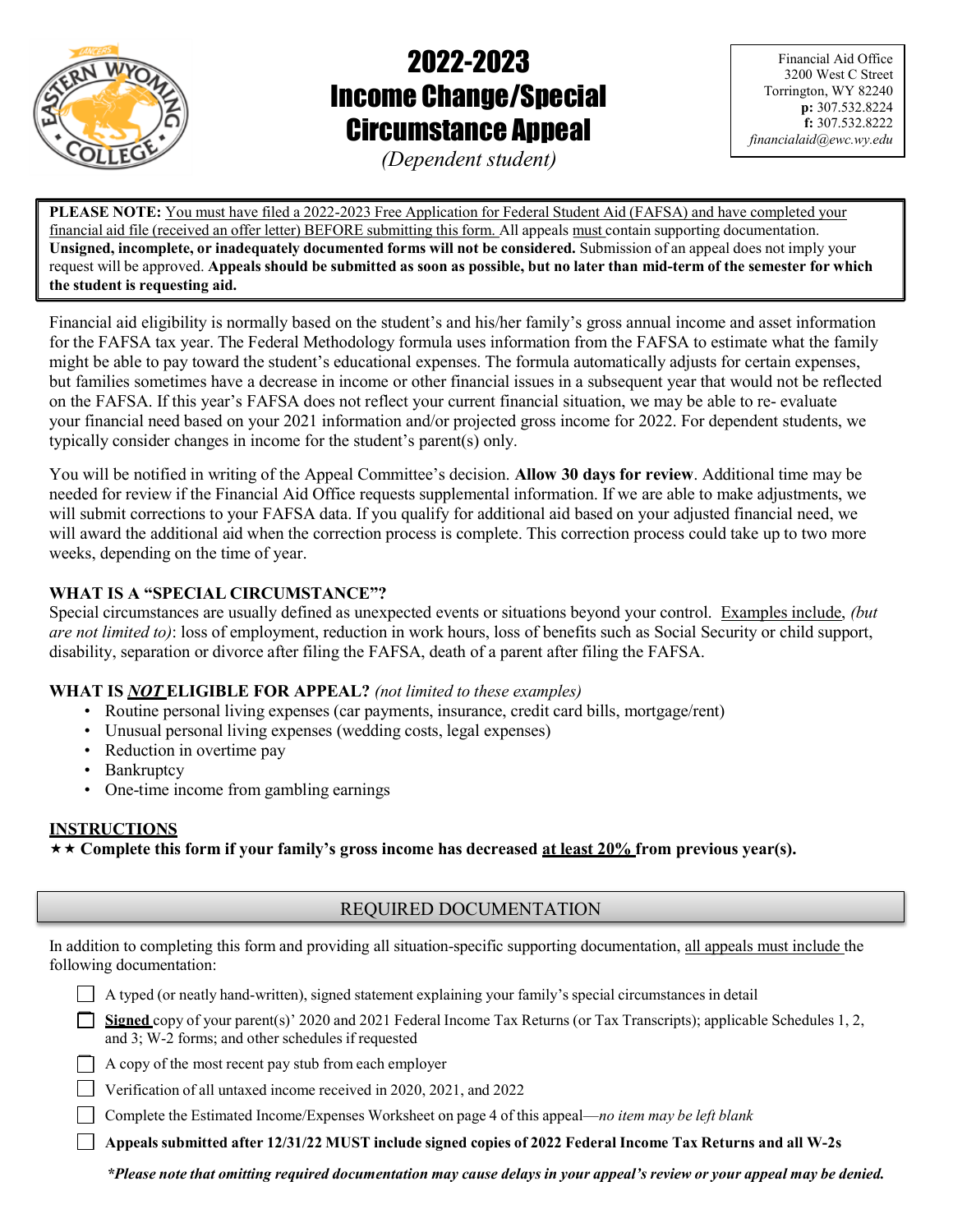

# 2022-2023 Income Change/Special Circumstance Appeal

Financial Aid Office 3200 West C Street Torrington, WY 82240 p: 307.532.8224 f: 307.532.8222 financialaid@ewc.wy.edu

(Dependent student)

PLEASE NOTE: You must have filed a 2022-2023 Free Application for Federal Student Aid (FAFSA) and have completed your financial aid file (received an offer letter) BEFORE submitting this form. All appeals must contain supporting documentation. Unsigned, incomplete, or inadequately documented forms will not be considered. Submission of an appeal does not imply your request will be approved. Appeals should be submitted as soon as possible, but no later than mid-term of the semester for which the student is requesting aid.

Financial aid eligibility is normally based on the student's and his/her family's gross annual income and asset information for the FAFSA tax year. The Federal Methodology formula uses information from the FAFSA to estimate what the family might be able to pay toward the student's educational expenses. The formula automatically adjusts for certain expenses, but families sometimes have a decrease in income or other financial issues in a subsequent year that would not be reflected on the FAFSA. If this year's FAFSA does not reflect your current financial situation, we may be able to re- evaluate your financial need based on your 2021 information and/or projected gross income for 2022. For dependent students, we typically consider changes in income for the student's parent(s) only.

You will be notified in writing of the Appeal Committee's decision. Allow 30 days for review. Additional time may be needed for review if the Financial Aid Office requests supplemental information. If we are able to make adjustments, we will submit corrections to your FAFSA data. If you qualify for additional aid based on your adjusted financial need, we will award the additional aid when the correction process is complete. This correction process could take up to two more weeks, depending on the time of year.

# WHAT IS A "SPECIAL CIRCUMSTANCE"?

Special circumstances are usually defined as unexpected events or situations beyond your control. Examples include, (but are not limited to): loss of employment, reduction in work hours, loss of benefits such as Social Security or child support, disability, separation or divorce after filing the FAFSA, death of a parent after filing the FAFSA.

# WHAT IS **NOT ELIGIBLE FOR APPEAL?** (not limited to these examples)

- Routine personal living expenses (car payments, insurance, credit card bills, mortgage/rent)
- Unusual personal living expenses (wedding costs, legal expenses)
- Reduction in overtime pay
- Bankruptcy
- One-time income from gambling earnings

# INSTRUCTIONS

 $\star \star$  Complete this form if your family's gross income has decreased at least 20% from previous year(s).

| In addition to completing this form and providing all situation-specific supporting documentation, all appeals must include the |  |
|---------------------------------------------------------------------------------------------------------------------------------|--|
| following documentation:                                                                                                        |  |

A typed (or neatly hand-written), signed statement explaining your family's special circumstances in detail

| Signed copy of your parent(s)' 2020 and 2021 Federal Income Tax Returns (or Tax Transcripts); applicable Schedules 1, 2, |
|--------------------------------------------------------------------------------------------------------------------------|
| and 3; W-2 forms; and other schedules if requested                                                                       |

A copy of the most recent pay stub from each employer

Verification of all untaxed income received in 2020, 2021, and 2022

Complete the Estimated Income/Expenses Worksheet on page 4 of this appeal—no item may be left blank

Appeals submitted after 12/31/22 MUST include signed copies of 2022 Federal Income Tax Returns and all W-2s

\*Please note that omitting required documentation may cause delays in your appeal's review or your appeal may be denied.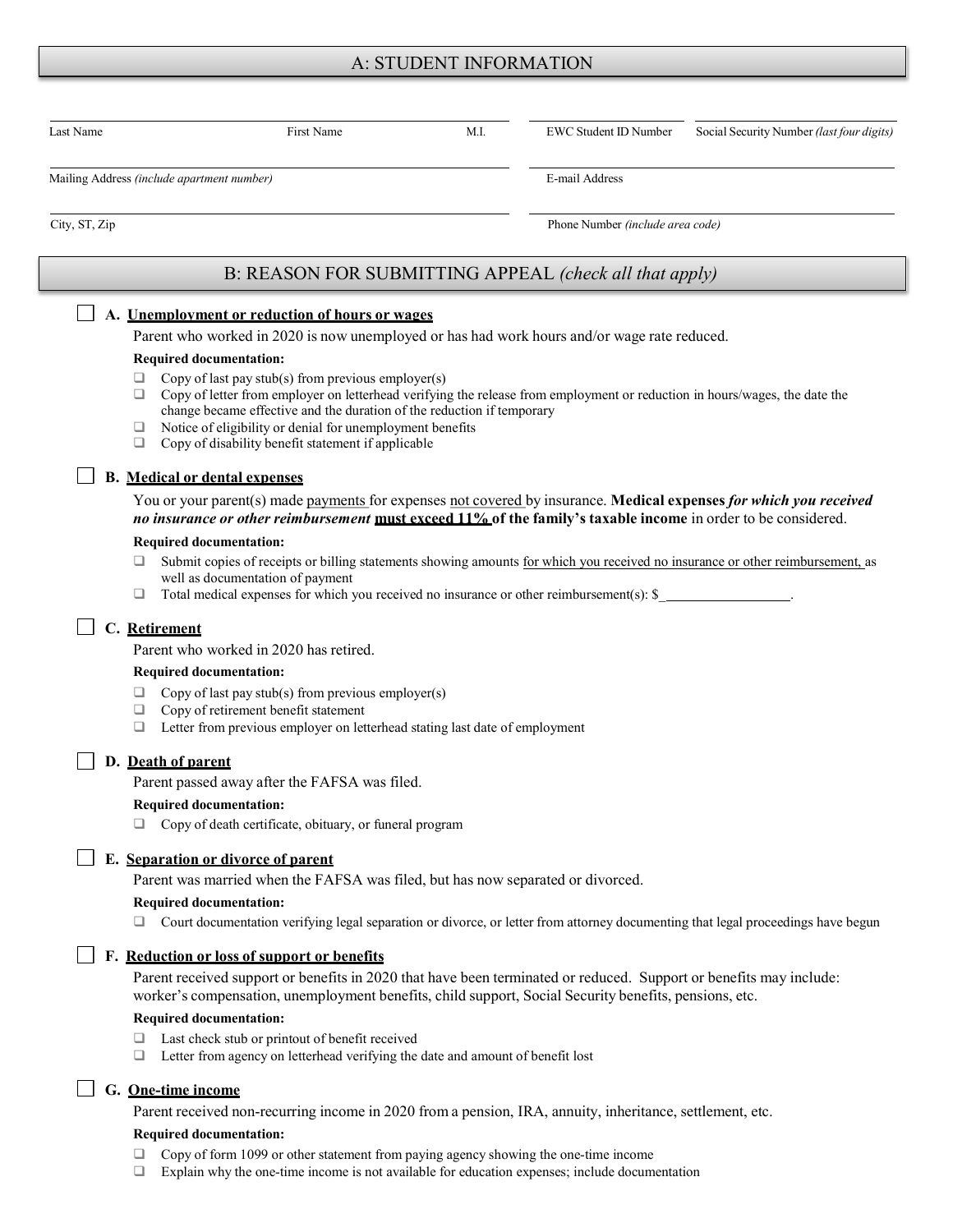## A: STUDENT INFORMATION

| Last Name     | <b>First Name</b>                                                                                                                                                                                                                                                                                                                                                                                   | M.I. | <b>EWC Student ID Number</b>     | Social Security Number (last four digits) |
|---------------|-----------------------------------------------------------------------------------------------------------------------------------------------------------------------------------------------------------------------------------------------------------------------------------------------------------------------------------------------------------------------------------------------------|------|----------------------------------|-------------------------------------------|
|               | Mailing Address (include apartment number)                                                                                                                                                                                                                                                                                                                                                          |      | E-mail Address                   |                                           |
| City, ST, Zip |                                                                                                                                                                                                                                                                                                                                                                                                     |      | Phone Number (include area code) |                                           |
|               | B: REASON FOR SUBMITTING APPEAL (check all that apply)                                                                                                                                                                                                                                                                                                                                              |      |                                  |                                           |
|               | A. Unemployment or reduction of hours or wages                                                                                                                                                                                                                                                                                                                                                      |      |                                  |                                           |
|               | Parent who worked in 2020 is now unemployed or has had work hours and/or wage rate reduced.                                                                                                                                                                                                                                                                                                         |      |                                  |                                           |
|               | <b>Required documentation:</b>                                                                                                                                                                                                                                                                                                                                                                      |      |                                  |                                           |
|               | Copy of last pay $stab(s)$ from previous employer(s)<br>⊔<br>Copy of letter from employer on letterhead verifying the release from employment or reduction in hours/wages, the date the<br>□<br>change became effective and the duration of the reduction if temporary<br>Notice of eligibility or denial for unemployment benefits<br>⊔<br>□<br>Copy of disability benefit statement if applicable |      |                                  |                                           |
|               | <b>B.</b> Medical or dental expenses                                                                                                                                                                                                                                                                                                                                                                |      |                                  |                                           |
|               | You or your parent(s) made payments for expenses not covered by insurance. Medical expenses for which you received<br>no insurance or other reimbursement must exceed 11% of the family's taxable income in order to be considered.                                                                                                                                                                 |      |                                  |                                           |
|               | <b>Required documentation:</b>                                                                                                                                                                                                                                                                                                                                                                      |      |                                  |                                           |
|               | Submit copies of receipts or billing statements showing amounts for which you received no insurance or other reimbursement, as<br>⊔<br>well as documentation of payment<br>Total medical expenses for which you received no insurance or other reimbursement(s): \$<br>⊔                                                                                                                            |      |                                  |                                           |
|               | C. Retirement                                                                                                                                                                                                                                                                                                                                                                                       |      |                                  |                                           |
|               | Parent who worked in 2020 has retired.                                                                                                                                                                                                                                                                                                                                                              |      |                                  |                                           |
|               | <b>Required documentation:</b>                                                                                                                                                                                                                                                                                                                                                                      |      |                                  |                                           |
|               | Copy of last pay $stab(s)$ from previous employer(s)<br>⊔<br>Copy of retirement benefit statement<br>❏<br>Letter from previous employer on letterhead stating last date of employment<br>□                                                                                                                                                                                                          |      |                                  |                                           |
|               | D. Death of parent                                                                                                                                                                                                                                                                                                                                                                                  |      |                                  |                                           |
|               | Parent passed away after the FAFSA was filed.                                                                                                                                                                                                                                                                                                                                                       |      |                                  |                                           |
|               | <b>Required documentation:</b>                                                                                                                                                                                                                                                                                                                                                                      |      |                                  |                                           |
|               | Copy of death certificate, obituary, or funeral program                                                                                                                                                                                                                                                                                                                                             |      |                                  |                                           |
|               | E. Separation or divorce of parent                                                                                                                                                                                                                                                                                                                                                                  |      |                                  |                                           |
|               | Parent was married when the FAFSA was filed, but has now separated or divorced.                                                                                                                                                                                                                                                                                                                     |      |                                  |                                           |
|               | <b>Required documentation:</b>                                                                                                                                                                                                                                                                                                                                                                      |      |                                  |                                           |
|               | Court documentation verifying legal separation or divorce, or letter from attorney documenting that legal proceedings have begun                                                                                                                                                                                                                                                                    |      |                                  |                                           |
|               | F. Reduction or loss of support or benefits                                                                                                                                                                                                                                                                                                                                                         |      |                                  |                                           |
|               | Parent received support or benefits in 2020 that have been terminated or reduced. Support or benefits may include:<br>worker's compensation, unemployment benefits, child support, Social Security benefits, pensions, etc.                                                                                                                                                                         |      |                                  |                                           |
|               | <b>Required documentation:</b>                                                                                                                                                                                                                                                                                                                                                                      |      |                                  |                                           |
|               | Last check stub or printout of benefit received<br>⊔                                                                                                                                                                                                                                                                                                                                                |      |                                  |                                           |
|               | Letter from agency on letterhead verifying the date and amount of benefit lost<br>□                                                                                                                                                                                                                                                                                                                 |      |                                  |                                           |
|               | G. One-time income<br>Parent received non-recurring income in 2020 from a pension, IRA, annuity, inheritance, settlement, etc.                                                                                                                                                                                                                                                                      |      |                                  |                                           |

#### Required documentation:

- $\Box$  Copy of form 1099 or other statement from paying agency showing the one-time income  $\Box$  Explain why the one-time income is not available for education expenses; include docume
- Explain why the one-time income is not available for education expenses; include documentation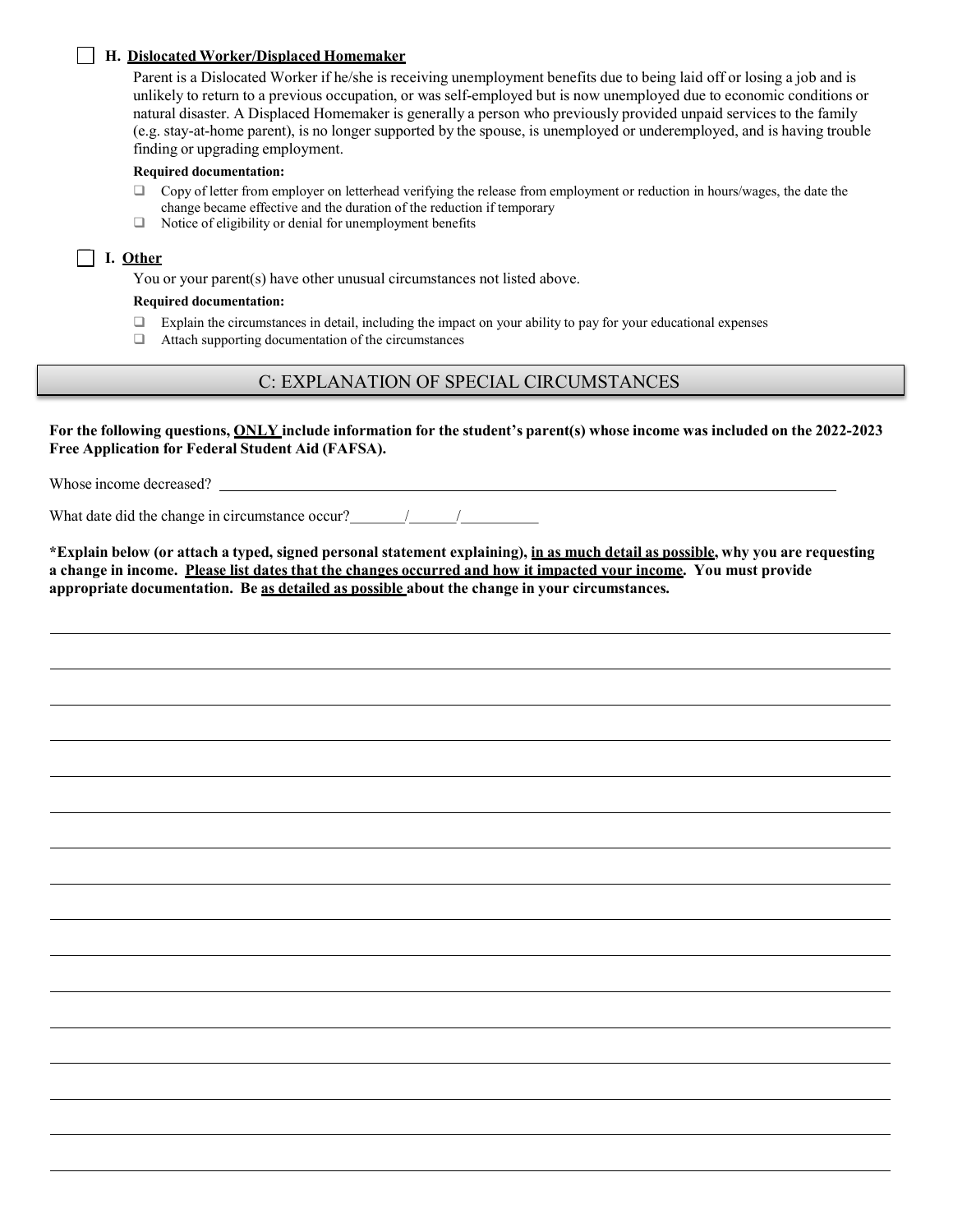#### H. Dislocated Worker/Displaced Homemaker

Parent is a Dislocated Worker if he/she is receiving unemployment benefits due to being laid off or losing a job and is unlikely to return to a previous occupation, or was self-employed but is now unemployed due to economic conditions or natural disaster. A Displaced Homemaker is generally a person who previously provided unpaid services to the family (e.g. stay-at-home parent), is no longer supported by the spouse, is unemployed or underemployed, and is having trouble finding or upgrading employment.

#### Required documentation:

- $\Box$  Copy of letter from employer on letterhead verifying the release from employment or reduction in hours/wages, the date the change became effective and the duration of the reduction if temporary
- □ Notice of eligibility or denial for unemployment benefits

#### $\Box$  I. Other

You or your parent(s) have other unusual circumstances not listed above.

#### Required documentation:

- $\Box$  Explain the circumstances in detail, including the impact on your ability to pay for your educational expenses
- Attach supporting documentation of the circumstances

### C: EXPLANATION OF SPECIAL CIRCUMSTANCES

For the following questions, ONLY include information for the student's parent(s) whose income was included on the 2022-2023 Free Application for Federal Student Aid (FAFSA).

Whose income decreased?

What date did the change in circumstance occur?<br> $\frac{1}{2}$  /

\*Explain below (or attach a typed, signed personal statement explaining), in as much detail as possible, why you are requesting a change in income. Please list dates that the changes occurred and how it impacted your income. You must provide appropriate documentation. Be as detailed as possible about the change in your circumstances.